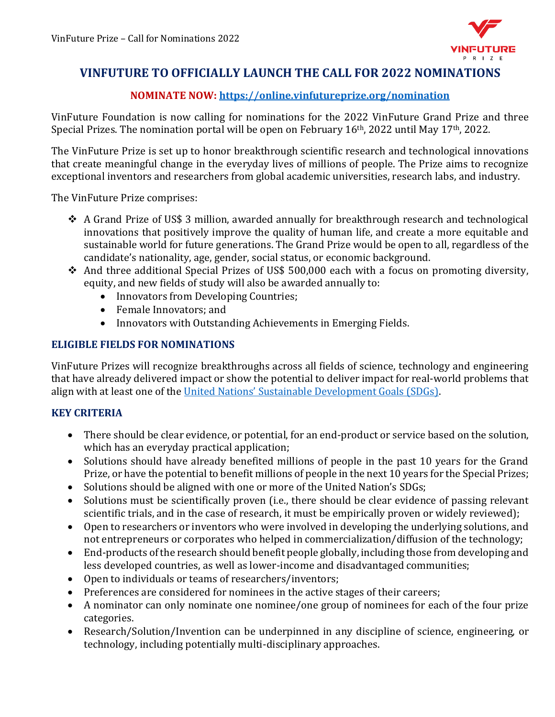

# **VINFUTURE TO OFFICIALLY LAUNCH THE CALL FOR 2022 NOMINATIONS**

# **NOMINATE NOW:<https://online.vinfutureprize.org/nomination>**

VinFuture Foundation is now calling for nominations for the 2022 VinFuture Grand Prize and three Special Prizes. The nomination portal will be open on February 16<sup>th</sup>, 2022 until May 17<sup>th</sup>, 2022.

The VinFuture Prize is set up to honor breakthrough scientific research and technological innovations that create meaningful change in the everyday lives of millions of people. The Prize aims to recognize exceptional inventors and researchers from global academic universities, research labs, and industry.

The VinFuture Prize comprises:

- ❖ A Grand Prize of US\$ 3 million, awarded annually for breakthrough research and technological innovations that positively improve the quality of human life, and create a more equitable and sustainable world for future generations. The Grand Prize would be open to all, regardless of the candidate's nationality, age, gender, social status, or economic background.
- ❖ And three additional Special Prizes of US\$ 500,000 each with a focus on promoting diversity, equity, and new fields of study will also be awarded annually to:
	- Innovators from Developing Countries;
	- Female Innovators; and
	- Innovators with Outstanding Achievements in Emerging Fields.

#### **ELIGIBLE FIELDS FOR NOMINATIONS**

VinFuture Prizes will recognize breakthroughs across all fields of science, technology and engineering that have already delivered impact or show the potential to deliver impact for real-world problems that align with at least one of the [United Nations' Sustainable Development Goals \(SDGs\)](https://sdgs.un.org/goals).

# **KEY CRITERIA**

- There should be clear evidence, or potential, for an end-product or service based on the solution, which has an everyday practical application;
- Solutions should have already benefited millions of people in the past 10 years for the Grand Prize, or have the potential to benefit millions of people in the next 10 years for the Special Prizes;
- Solutions should be aligned with one or more of the United Nation's SDGs;
- Solutions must be scientifically proven (i.e., there should be clear evidence of passing relevant scientific trials, and in the case of research, it must be empirically proven or widely reviewed);
- Open to researchers or inventors who were involved in developing the underlying solutions, and not entrepreneurs or corporates who helped in commercialization/diffusion of the technology;
- End-products of the research should benefit people globally, including those from developing and less developed countries, as well as lower-income and disadvantaged communities;
- Open to individuals or teams of researchers/inventors;
- Preferences are considered for nominees in the active stages of their careers;
- A nominator can only nominate one nominee/one group of nominees for each of the four prize categories.
- Research/Solution/Invention can be underpinned in any discipline of science, engineering, or technology, including potentially multi-disciplinary approaches.